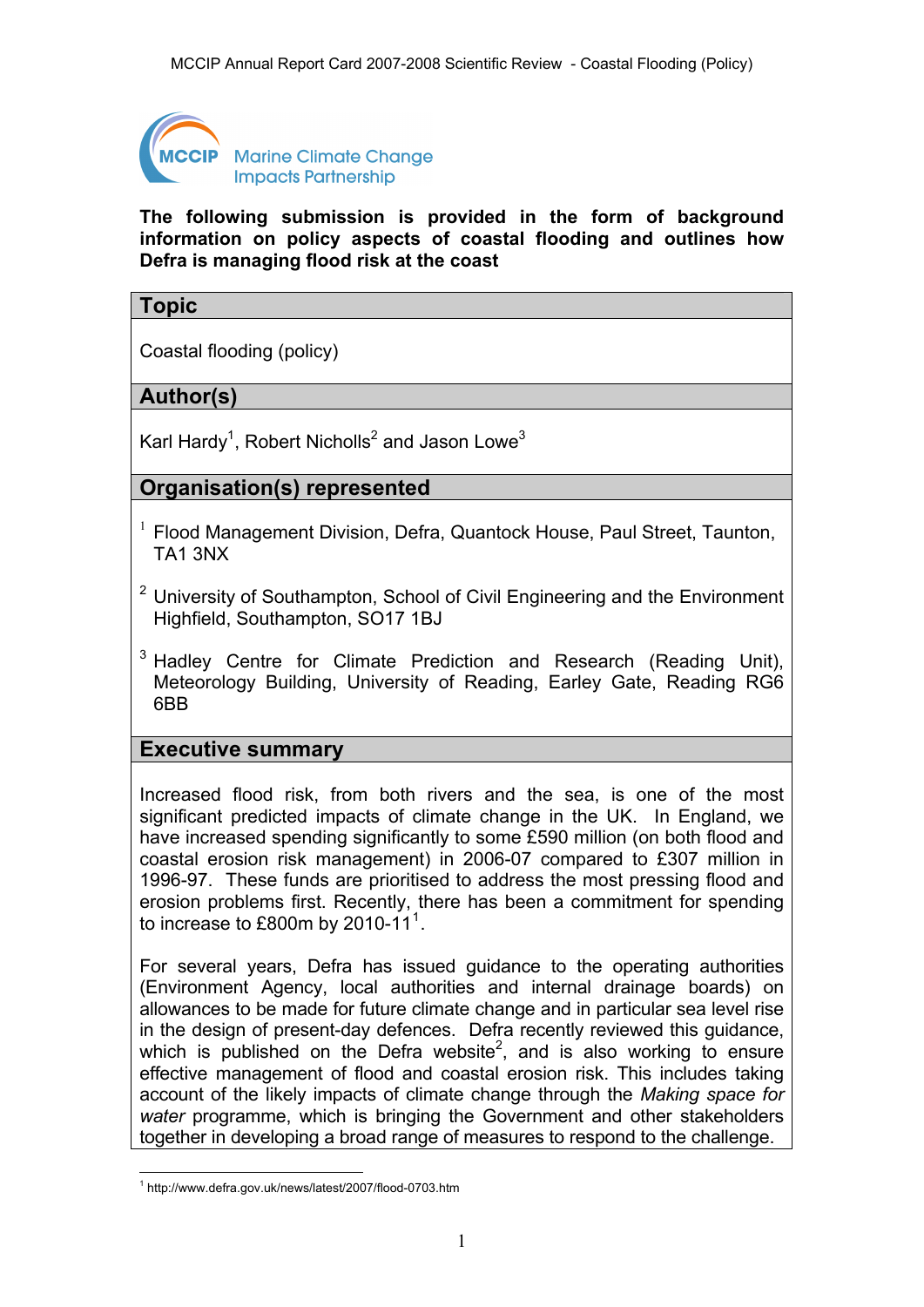

**Marine Climate Change Impacts Partnership** 

**The following submission is provided in the form of background information on policy aspects of coastal flooding and outlines how Defra is managing flood risk at the coast** 

## **Topic**

Coastal flooding (policy)

## **Author(s)**

Karl Hardy<sup>1</sup>, Robert Nicholls<sup>2</sup> and Jason Lowe<sup>3</sup>

## **Organisation(s) represented**

- $1$  Flood Management Division, Defra, Quantock House, Paul Street, Taunton, TA1 3NX
- $2$  University of Southampton, School of Civil Engineering and the Environment Highfield, Southampton, SO17 1BJ
- <sup>3</sup> Hadley Centre for Climate Prediction and Research (Reading Unit), Meteorology Building, University of Reading, Earley Gate, Reading RG6 6BB

#### **Executive summary**

Increased flood risk, from both rivers and the sea, is one of the most significant predicted impacts of climate change in the UK. In England, we have increased spending significantly to some £590 million (on both flood and coastal erosion risk management) in 2006-07 compared to £307 million in 1996-97. These funds are prioritised to address the most pressing flood and erosion problems first. Recently, there has been a commitment for spending to increase to £800m by 20[1](#page-0-0)0-11 $^1$ .

For several years, Defra has issued guidance to the operating authorities (Environment Agency, local authorities and internal drainage boards) on allowances to be made for future climate change and in particular sea level rise in the design of present-day defences. Defra recently reviewed this guidance, which is published on the Defra website<sup>2</sup>, and is also working to ensure effective management of flood and coastal erosion risk. This includes taking account of the likely impacts of climate change through the *Making space for water* programme, which is bringing the Government and other stakeholders together in developing a broad range of measures to respond to the challenge.

<span id="page-0-0"></span> 1 http://www.defra.gov.uk/news/latest/2007/flood-0703.htm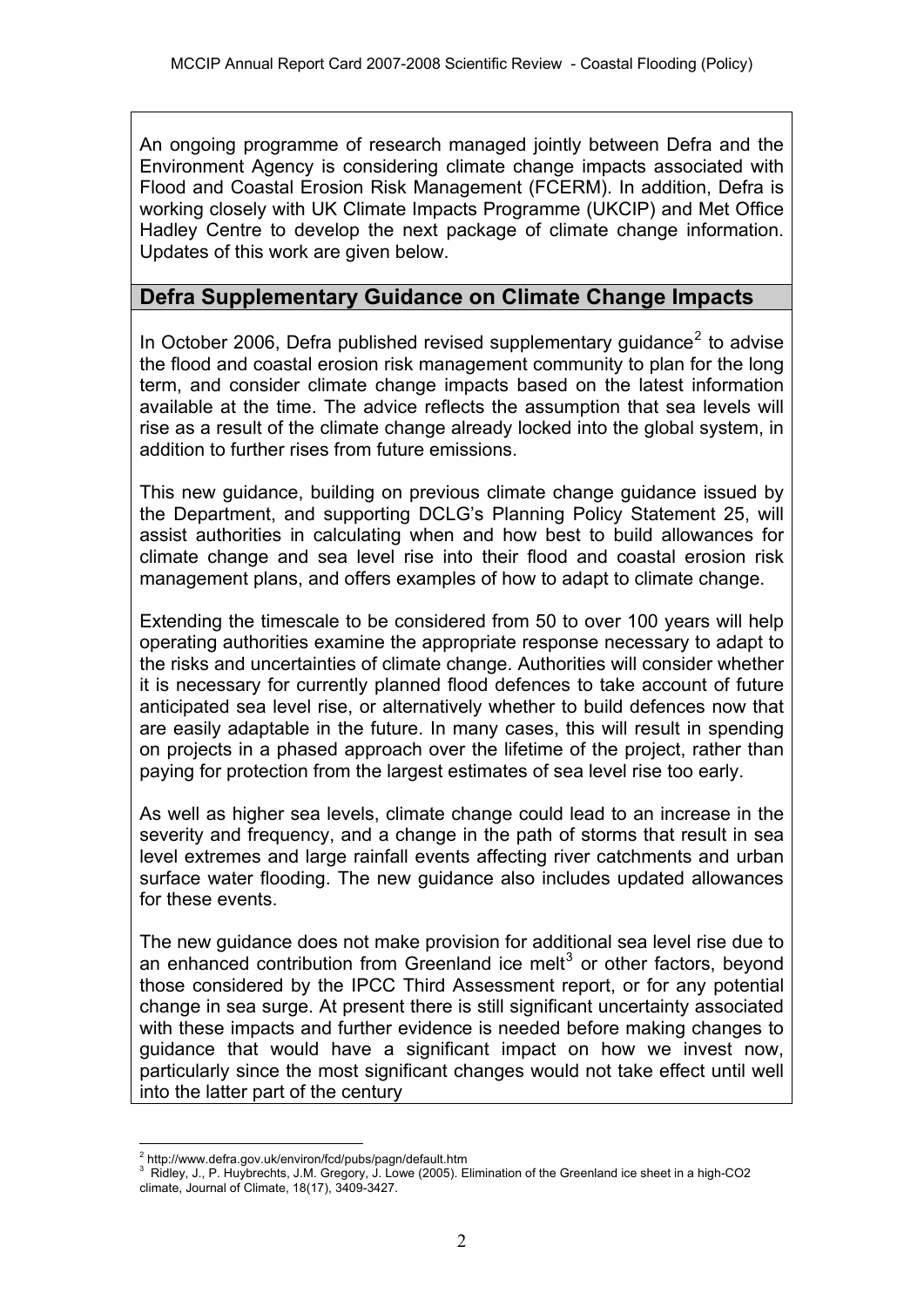An ongoing programme of research managed jointly between Defra and the Environment Agency is considering climate change impacts associated with Flood and Coastal Erosion Risk Management (FCERM). In addition, Defra is working closely with UK Climate Impacts Programme (UKCIP) and Met Office Hadley Centre to develop the next package of climate change information. Updates of this work are given below.

### **Defra Supplementary Guidance on Climate Change Impacts**

In October [2](#page-1-0)006, Defra published revised supplementary guidance<sup>2</sup> to advise the flood and coastal erosion risk management community to plan for the long term, and consider climate change impacts based on the latest information available at the time. The advice reflects the assumption that sea levels will rise as a result of the climate change already locked into the global system, in addition to further rises from future emissions.

This new guidance, building on previous climate change guidance issued by the Department, and supporting DCLG's Planning Policy Statement 25, will assist authorities in calculating when and how best to build allowances for climate change and sea level rise into their flood and coastal erosion risk management plans, and offers examples of how to adapt to climate change.

Extending the timescale to be considered from 50 to over 100 years will help operating authorities examine the appropriate response necessary to adapt to the risks and uncertainties of climate change. Authorities will consider whether it is necessary for currently planned flood defences to take account of future anticipated sea level rise, or alternatively whether to build defences now that are easily adaptable in the future. In many cases, this will result in spending on projects in a phased approach over the lifetime of the project, rather than paying for protection from the largest estimates of sea level rise too early.

As well as higher sea levels, climate change could lead to an increase in the severity and frequency, and a change in the path of storms that result in sea level extremes and large rainfall events affecting river catchments and urban surface water flooding. The new guidance also includes updated allowances for these events.

The new guidance does not make provision for additional sea level rise due to an enhanced contribution from Greenland ice melt $3$  or other factors, beyond those considered by the IPCC Third Assessment report, or for any potential change in sea surge. At present there is still significant uncertainty associated with these impacts and further evidence is needed before making changes to guidance that would have a significant impact on how we invest now, particularly since the most significant changes would not take effect until well into the latter part of the century

1

<sup>&</sup>lt;sup>2</sup> http://www.defra.gov.uk/environ/fcd/pubs/pagn/default.htm

<span id="page-1-1"></span><span id="page-1-0"></span><sup>&</sup>lt;sup>3</sup> Ridley, J., P. Huybrechts, J.M. Gregory, J. Lowe (2005). Elimination of the Greenland ice sheet in a high-CO2 climate, Journal of Climate, 18(17), 3409-3427.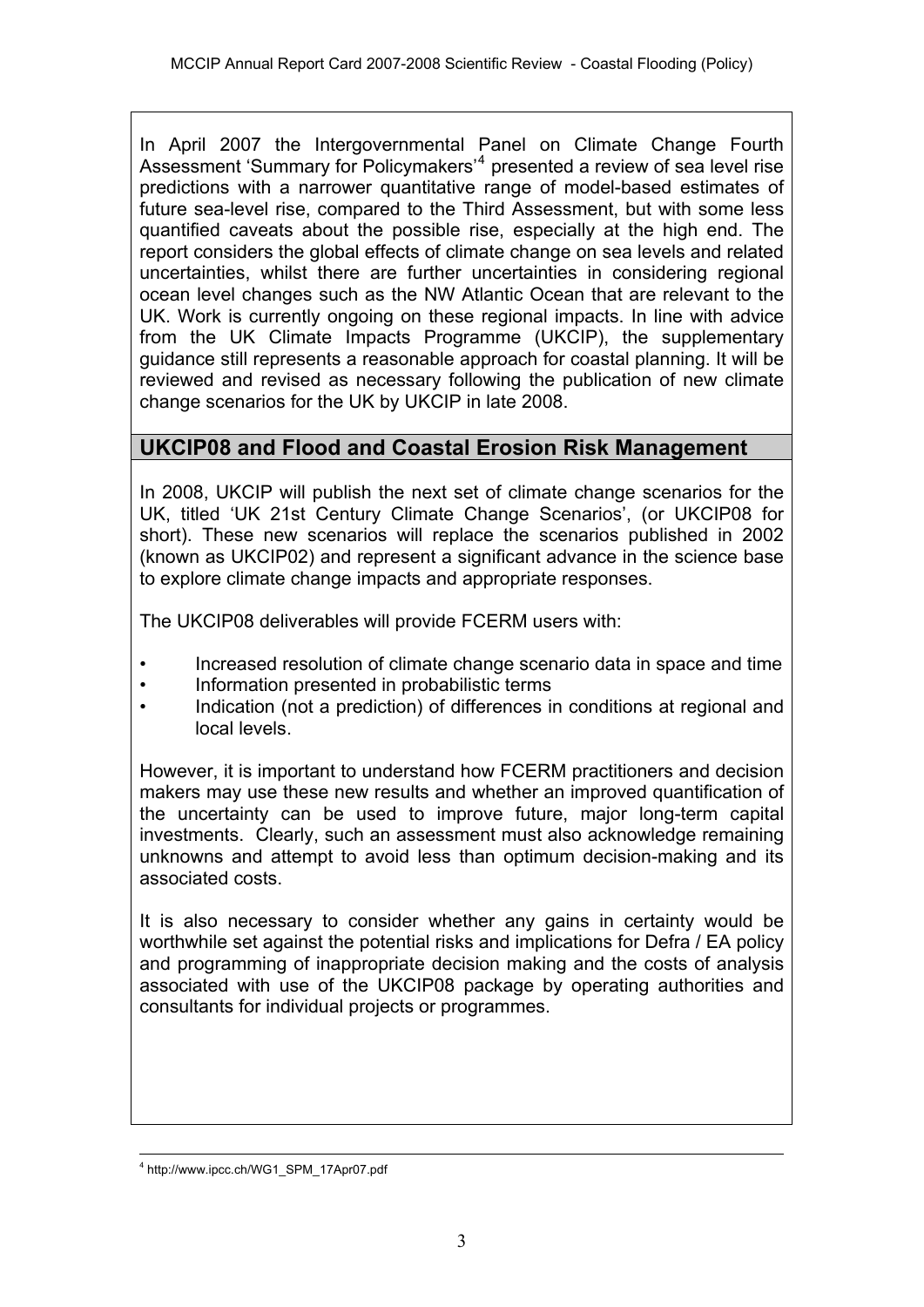In April 2007 the Intergovernmental Panel on Climate Change Fourth Assessment 'Summary for Policymakers'<sup>[4](#page-2-0)</sup> presented a review of sea level rise predictions with a narrower quantitative range of model-based estimates of future sea-level rise, compared to the Third Assessment, but with some less quantified caveats about the possible rise, especially at the high end. The report considers the global effects of climate change on sea levels and related uncertainties, whilst there are further uncertainties in considering regional ocean level changes such as the NW Atlantic Ocean that are relevant to the UK. Work is currently ongoing on these regional impacts. In line with advice from the UK Climate Impacts Programme (UKCIP), the supplementary guidance still represents a reasonable approach for coastal planning. It will be reviewed and revised as necessary following the publication of new climate change scenarios for the UK by UKCIP in late 2008.

# **UKCIP08 and Flood and Coastal Erosion Risk Management**

In 2008, UKCIP will publish the next set of climate change scenarios for the UK, titled 'UK 21st Century Climate Change Scenarios', (or UKCIP08 for short). These new scenarios will replace the scenarios published in 2002 (known as UKCIP02) and represent a significant advance in the science base to explore climate change impacts and appropriate responses.

The UKCIP08 deliverables will provide FCERM users with:

- Increased resolution of climate change scenario data in space and time
- Information presented in probabilistic terms
- Indication (not a prediction) of differences in conditions at regional and local levels.

However, it is important to understand how FCERM practitioners and decision makers may use these new results and whether an improved quantification of the uncertainty can be used to improve future, major long-term capital investments. Clearly, such an assessment must also acknowledge remaining unknowns and attempt to avoid less than optimum decision-making and its associated costs.

It is also necessary to consider whether any gains in certainty would be worthwhile set against the potential risks and implications for Defra / EA policy and programming of inappropriate decision making and the costs of analysis associated with use of the UKCIP08 package by operating authorities and consultants for individual projects or programmes.

<span id="page-2-0"></span> $\frac{1}{4}$ http://www.ipcc.ch/WG1\_SPM\_17Apr07.pdf